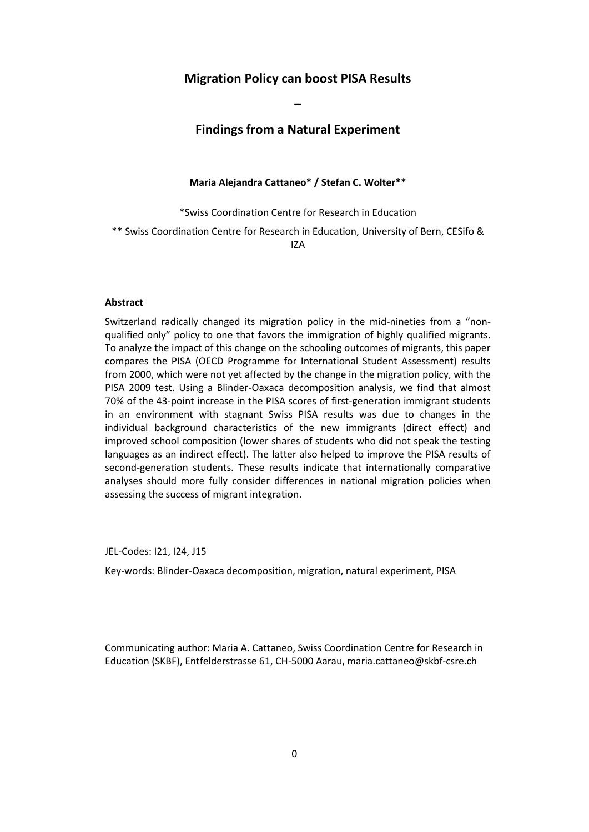# **Migration Policy can boost PISA Results**

**–**

# **Findings from a Natural Experiment**

**Maria Alejandra Cattaneo\* / Stefan C. Wolter\*\***

\*Swiss Coordination Centre for Research in Education

\*\* Swiss Coordination Centre for Research in Education, University of Bern, CESifo & IZA

#### **Abstract**

Switzerland radically changed its migration policy in the mid-nineties from a "nonqualified only" policy to one that favors the immigration of highly qualified migrants. To analyze the impact of this change on the schooling outcomes of migrants, this paper compares the PISA (OECD Programme for International Student Assessment) results from 2000, which were not yet affected by the change in the migration policy, with the PISA 2009 test. Using a Blinder-Oaxaca decomposition analysis, we find that almost 70% of the 43-point increase in the PISA scores of first-generation immigrant students in an environment with stagnant Swiss PISA results was due to changes in the individual background characteristics of the new immigrants (direct effect) and improved school composition (lower shares of students who did not speak the testing languages as an indirect effect). The latter also helped to improve the PISA results of second-generation students. These results indicate that internationally comparative analyses should more fully consider differences in national migration policies when assessing the success of migrant integration.

JEL-Codes: I21, I24, J15

Key-words: Blinder-Oaxaca decomposition, migration, natural experiment, PISA

Communicating author: Maria A. Cattaneo, Swiss Coordination Centre for Research in Education (SKBF), Entfelderstrasse 61, CH-5000 Aarau, maria.cattaneo@skbf-csre.ch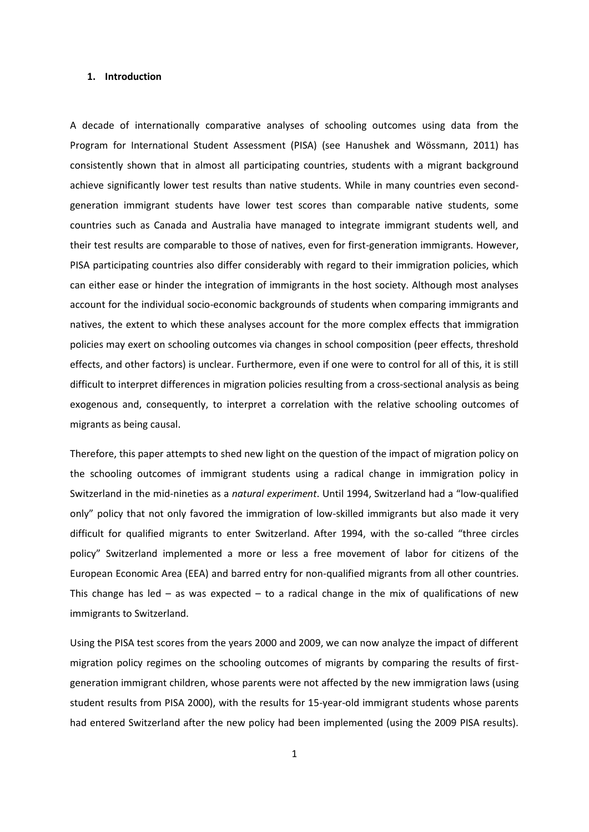# **1. Introduction**

A decade of internationally comparative analyses of schooling outcomes using data from the Program for International Student Assessment (PISA) (see Hanushek and Wössmann, 2011) has consistently shown that in almost all participating countries, students with a migrant background achieve significantly lower test results than native students. While in many countries even secondgeneration immigrant students have lower test scores than comparable native students, some countries such as Canada and Australia have managed to integrate immigrant students well, and their test results are comparable to those of natives, even for first-generation immigrants. However, PISA participating countries also differ considerably with regard to their immigration policies, which can either ease or hinder the integration of immigrants in the host society. Although most analyses account for the individual socio-economic backgrounds of students when comparing immigrants and natives, the extent to which these analyses account for the more complex effects that immigration policies may exert on schooling outcomes via changes in school composition (peer effects, threshold effects, and other factors) is unclear. Furthermore, even if one were to control for all of this, it is still difficult to interpret differences in migration policies resulting from a cross-sectional analysis as being exogenous and, consequently, to interpret a correlation with the relative schooling outcomes of migrants as being causal.

Therefore, this paper attempts to shed new light on the question of the impact of migration policy on the schooling outcomes of immigrant students using a radical change in immigration policy in Switzerland in the mid-nineties as a *natural experiment*. Until 1994, Switzerland had a "low-qualified only" policy that not only favored the immigration of low-skilled immigrants but also made it very difficult for qualified migrants to enter Switzerland. After 1994, with the so-called "three circles policy" Switzerland implemented a more or less a free movement of labor for citizens of the European Economic Area (EEA) and barred entry for non-qualified migrants from all other countries. This change has led – as was expected – to a radical change in the mix of qualifications of new immigrants to Switzerland.

Using the PISA test scores from the years 2000 and 2009, we can now analyze the impact of different migration policy regimes on the schooling outcomes of migrants by comparing the results of firstgeneration immigrant children, whose parents were not affected by the new immigration laws (using student results from PISA 2000), with the results for 15-year-old immigrant students whose parents had entered Switzerland after the new policy had been implemented (using the 2009 PISA results).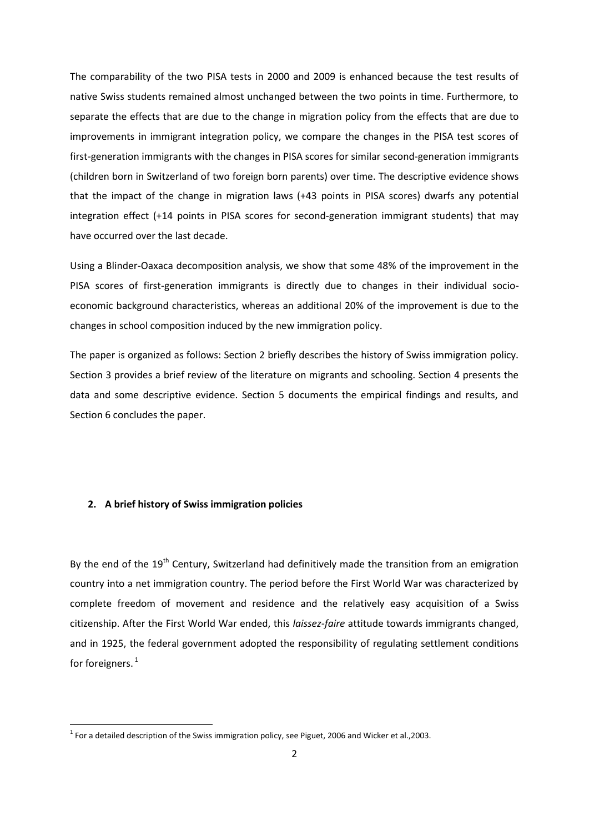The comparability of the two PISA tests in 2000 and 2009 is enhanced because the test results of native Swiss students remained almost unchanged between the two points in time. Furthermore, to separate the effects that are due to the change in migration policy from the effects that are due to improvements in immigrant integration policy, we compare the changes in the PISA test scores of first-generation immigrants with the changes in PISA scores for similar second-generation immigrants (children born in Switzerland of two foreign born parents) over time. The descriptive evidence shows that the impact of the change in migration laws (+43 points in PISA scores) dwarfs any potential integration effect (+14 points in PISA scores for second-generation immigrant students) that may have occurred over the last decade.

Using a Blinder-Oaxaca decomposition analysis, we show that some 48% of the improvement in the PISA scores of first-generation immigrants is directly due to changes in their individual socioeconomic background characteristics, whereas an additional 20% of the improvement is due to the changes in school composition induced by the new immigration policy.

The paper is organized as follows: Section 2 briefly describes the history of Swiss immigration policy. Section 3 provides a brief review of the literature on migrants and schooling. Section 4 presents the data and some descriptive evidence. Section 5 documents the empirical findings and results, and Section 6 concludes the paper.

# **2. A brief history of Swiss immigration policies**

**.** 

By the end of the 19<sup>th</sup> Century, Switzerland had definitively made the transition from an emigration country into a net immigration country. The period before the First World War was characterized by complete freedom of movement and residence and the relatively easy acquisition of a Swiss citizenship. After the First World War ended, this *laissez-faire* attitude towards immigrants changed, and in 1925, the federal government adopted the responsibility of regulating settlement conditions for foreigners. $<sup>1</sup>$ </sup>

 $^1$  For a detailed description of the Swiss immigration policy, see Piguet, 2006 and Wicker et al.,2003.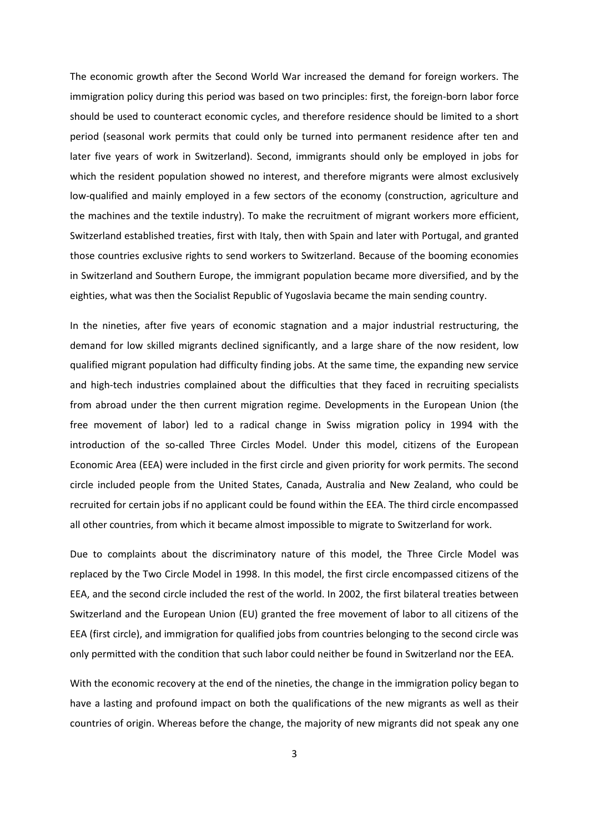The economic growth after the Second World War increased the demand for foreign workers. The immigration policy during this period was based on two principles: first, the foreign-born labor force should be used to counteract economic cycles, and therefore residence should be limited to a short period (seasonal work permits that could only be turned into permanent residence after ten and later five years of work in Switzerland). Second, immigrants should only be employed in jobs for which the resident population showed no interest, and therefore migrants were almost exclusively low-qualified and mainly employed in a few sectors of the economy (construction, agriculture and the machines and the textile industry). To make the recruitment of migrant workers more efficient, Switzerland established treaties, first with Italy, then with Spain and later with Portugal, and granted those countries exclusive rights to send workers to Switzerland. Because of the booming economies in Switzerland and Southern Europe, the immigrant population became more diversified, and by the eighties, what was then the Socialist Republic of Yugoslavia became the main sending country.

In the nineties, after five years of economic stagnation and a major industrial restructuring, the demand for low skilled migrants declined significantly, and a large share of the now resident, low qualified migrant population had difficulty finding jobs. At the same time, the expanding new service and high-tech industries complained about the difficulties that they faced in recruiting specialists from abroad under the then current migration regime. Developments in the European Union (the free movement of labor) led to a radical change in Swiss migration policy in 1994 with the introduction of the so-called Three Circles Model. Under this model, citizens of the European Economic Area (EEA) were included in the first circle and given priority for work permits. The second circle included people from the United States, Canada, Australia and New Zealand, who could be recruited for certain jobs if no applicant could be found within the EEA. The third circle encompassed all other countries, from which it became almost impossible to migrate to Switzerland for work.

Due to complaints about the discriminatory nature of this model, the Three Circle Model was replaced by the Two Circle Model in 1998. In this model, the first circle encompassed citizens of the EEA, and the second circle included the rest of the world. In 2002, the first bilateral treaties between Switzerland and the European Union (EU) granted the free movement of labor to all citizens of the EEA (first circle), and immigration for qualified jobs from countries belonging to the second circle was only permitted with the condition that such labor could neither be found in Switzerland nor the EEA.

With the economic recovery at the end of the nineties, the change in the immigration policy began to have a lasting and profound impact on both the qualifications of the new migrants as well as their countries of origin. Whereas before the change, the majority of new migrants did not speak any one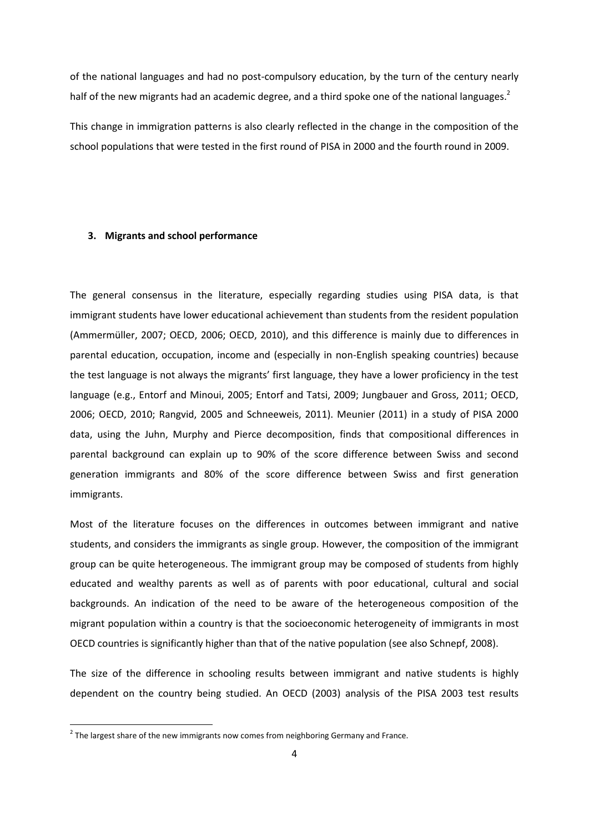of the national languages and had no post-compulsory education, by the turn of the century nearly half of the new migrants had an academic degree, and a third spoke one of the national languages.<sup>2</sup>

This change in immigration patterns is also clearly reflected in the change in the composition of the school populations that were tested in the first round of PISA in 2000 and the fourth round in 2009.

# **3. Migrants and school performance**

The general consensus in the literature, especially regarding studies using PISA data, is that immigrant students have lower educational achievement than students from the resident population (Ammermüller, 2007; OECD, 2006; OECD, 2010), and this difference is mainly due to differences in parental education, occupation, income and (especially in non-English speaking countries) because the test language is not always the migrants' first language, they have a lower proficiency in the test language (e.g., Entorf and Minoui, 2005; Entorf and Tatsi, 2009; Jungbauer and Gross, 2011; OECD, 2006; OECD, 2010; Rangvid, 2005 and Schneeweis, 2011). Meunier (2011) in a study of PISA 2000 data, using the Juhn, Murphy and Pierce decomposition, finds that compositional differences in parental background can explain up to 90% of the score difference between Swiss and second generation immigrants and 80% of the score difference between Swiss and first generation immigrants.

Most of the literature focuses on the differences in outcomes between immigrant and native students, and considers the immigrants as single group. However, the composition of the immigrant group can be quite heterogeneous. The immigrant group may be composed of students from highly educated and wealthy parents as well as of parents with poor educational, cultural and social backgrounds. An indication of the need to be aware of the heterogeneous composition of the migrant population within a country is that the socioeconomic heterogeneity of immigrants in most OECD countries is significantly higher than that of the native population (see also Schnepf, 2008).

The size of the difference in schooling results between immigrant and native students is highly dependent on the country being studied. An OECD (2003) analysis of the PISA 2003 test results

**.** 

 $2$  The largest share of the new immigrants now comes from neighboring Germany and France.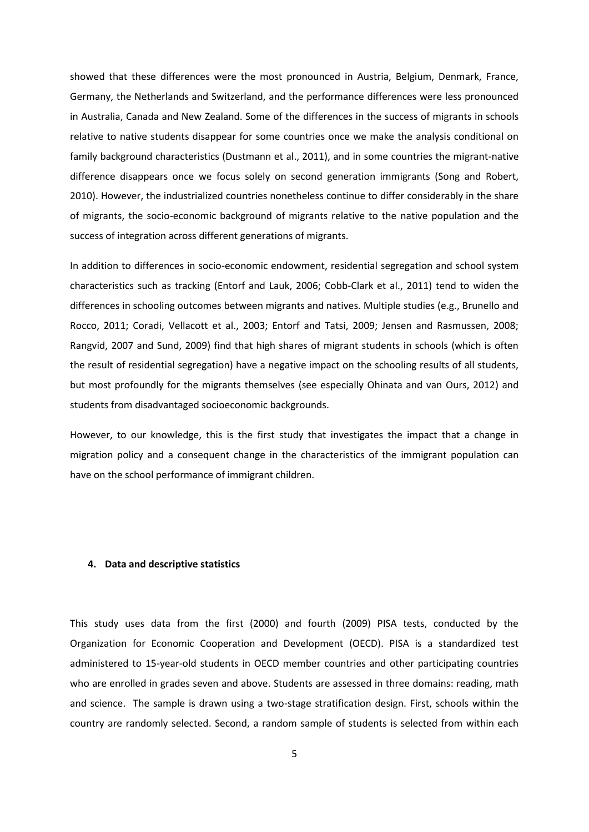showed that these differences were the most pronounced in Austria, Belgium, Denmark, France, Germany, the Netherlands and Switzerland, and the performance differences were less pronounced in Australia, Canada and New Zealand. Some of the differences in the success of migrants in schools relative to native students disappear for some countries once we make the analysis conditional on family background characteristics (Dustmann et al., 2011), and in some countries the migrant-native difference disappears once we focus solely on second generation immigrants (Song and Robert, 2010). However, the industrialized countries nonetheless continue to differ considerably in the share of migrants, the socio-economic background of migrants relative to the native population and the success of integration across different generations of migrants.

In addition to differences in socio-economic endowment, residential segregation and school system characteristics such as tracking (Entorf and Lauk, 2006; Cobb-Clark et al., 2011) tend to widen the differences in schooling outcomes between migrants and natives. Multiple studies (e.g., Brunello and Rocco, 2011; Coradi, Vellacott et al., 2003; Entorf and Tatsi, 2009; Jensen and Rasmussen, 2008; Rangvid, 2007 and Sund, 2009) find that high shares of migrant students in schools (which is often the result of residential segregation) have a negative impact on the schooling results of all students, but most profoundly for the migrants themselves (see especially Ohinata and van Ours, 2012) and students from disadvantaged socioeconomic backgrounds.

However, to our knowledge, this is the first study that investigates the impact that a change in migration policy and a consequent change in the characteristics of the immigrant population can have on the school performance of immigrant children.

# **4. Data and descriptive statistics**

This study uses data from the first (2000) and fourth (2009) PISA tests, conducted by the Organization for Economic Cooperation and Development (OECD). PISA is a standardized test administered to 15-year-old students in OECD member countries and other participating countries who are enrolled in grades seven and above. Students are assessed in three domains: reading, math and science. The sample is drawn using a two-stage stratification design. First, schools within the country are randomly selected. Second, a random sample of students is selected from within each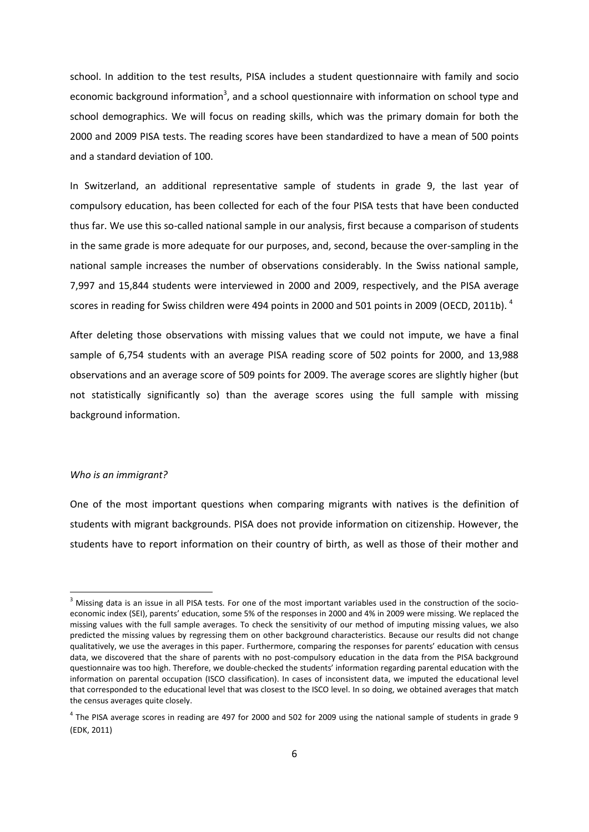school. In addition to the test results, PISA includes a student questionnaire with family and socio economic background information<sup>3</sup>, and a school questionnaire with information on school type and school demographics. We will focus on reading skills, which was the primary domain for both the 2000 and 2009 PISA tests. The reading scores have been standardized to have a mean of 500 points and a standard deviation of 100.

In Switzerland, an additional representative sample of students in grade 9, the last year of compulsory education, has been collected for each of the four PISA tests that have been conducted thus far. We use this so-called national sample in our analysis, first because a comparison of students in the same grade is more adequate for our purposes, and, second, because the over-sampling in the national sample increases the number of observations considerably. In the Swiss national sample, 7,997 and 15,844 students were interviewed in 2000 and 2009, respectively, and the PISA average scores in reading for Swiss children were 494 points in 2000 and 501 points in 2009 (OECD, 2011b). <sup>4</sup>

After deleting those observations with missing values that we could not impute, we have a final sample of 6,754 students with an average PISA reading score of 502 points for 2000, and 13,988 observations and an average score of 509 points for 2009. The average scores are slightly higher (but not statistically significantly so) than the average scores using the full sample with missing background information.

#### *Who is an immigrant?*

**.** 

One of the most important questions when comparing migrants with natives is the definition of students with migrant backgrounds. PISA does not provide information on citizenship. However, the students have to report information on their country of birth, as well as those of their mother and

 $3$  Missing data is an issue in all PISA tests. For one of the most important variables used in the construction of the socioeconomic index (SEI), parents' education, some 5% of the responses in 2000 and 4% in 2009 were missing. We replaced the missing values with the full sample averages. To check the sensitivity of our method of imputing missing values, we also predicted the missing values by regressing them on other background characteristics. Because our results did not change qualitatively, we use the averages in this paper. Furthermore, comparing the responses for parents' education with census data, we discovered that the share of parents with no post-compulsory education in the data from the PISA background questionnaire was too high. Therefore, we double-checked the students' information regarding parental education with the information on parental occupation (ISCO classification). In cases of inconsistent data, we imputed the educational level that corresponded to the educational level that was closest to the ISCO level. In so doing, we obtained averages that match the census averages quite closely.

 $^4$  The PISA average scores in reading are 497 for 2000 and 502 for 2009 using the national sample of students in grade 9 (EDK, 2011)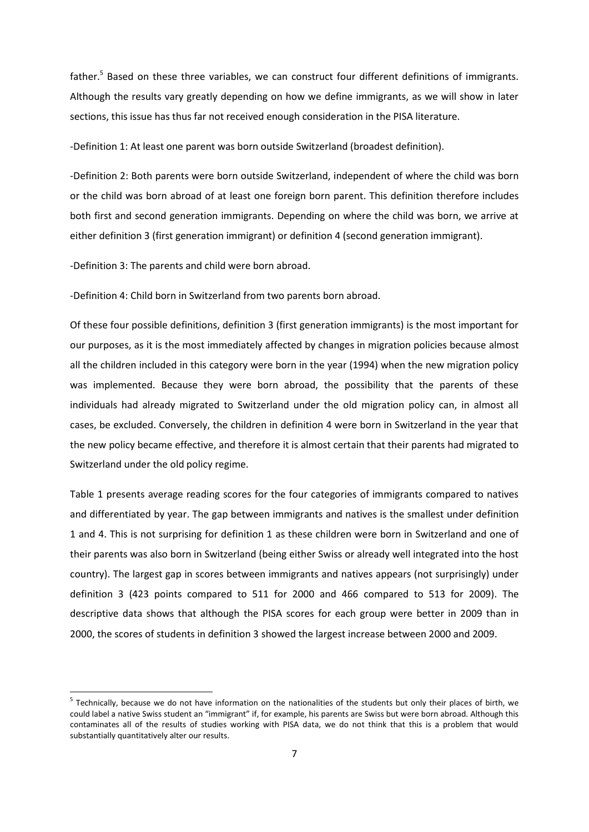father.<sup>5</sup> Based on these three variables, we can construct four different definitions of immigrants. Although the results vary greatly depending on how we define immigrants, as we will show in later sections, this issue has thus far not received enough consideration in the PISA literature.

-Definition 1: At least one parent was born outside Switzerland (broadest definition).

-Definition 2: Both parents were born outside Switzerland, independent of where the child was born or the child was born abroad of at least one foreign born parent. This definition therefore includes both first and second generation immigrants. Depending on where the child was born, we arrive at either definition 3 (first generation immigrant) or definition 4 (second generation immigrant).

-Definition 3: The parents and child were born abroad.

**.** 

-Definition 4: Child born in Switzerland from two parents born abroad.

Of these four possible definitions, definition 3 (first generation immigrants) is the most important for our purposes, as it is the most immediately affected by changes in migration policies because almost all the children included in this category were born in the year (1994) when the new migration policy was implemented. Because they were born abroad, the possibility that the parents of these individuals had already migrated to Switzerland under the old migration policy can, in almost all cases, be excluded. Conversely, the children in definition 4 were born in Switzerland in the year that the new policy became effective, and therefore it is almost certain that their parents had migrated to Switzerland under the old policy regime.

Table 1 presents average reading scores for the four categories of immigrants compared to natives and differentiated by year. The gap between immigrants and natives is the smallest under definition 1 and 4. This is not surprising for definition 1 as these children were born in Switzerland and one of their parents was also born in Switzerland (being either Swiss or already well integrated into the host country). The largest gap in scores between immigrants and natives appears (not surprisingly) under definition 3 (423 points compared to 511 for 2000 and 466 compared to 513 for 2009). The descriptive data shows that although the PISA scores for each group were better in 2009 than in 2000, the scores of students in definition 3 showed the largest increase between 2000 and 2009.

<sup>&</sup>lt;sup>5</sup> Technically, because we do not have information on the nationalities of the students but only their places of birth, we could label a native Swiss student an "immigrant" if, for example, his parents are Swiss but were born abroad. Although this contaminates all of the results of studies working with PISA data, we do not think that this is a problem that would substantially quantitatively alter our results.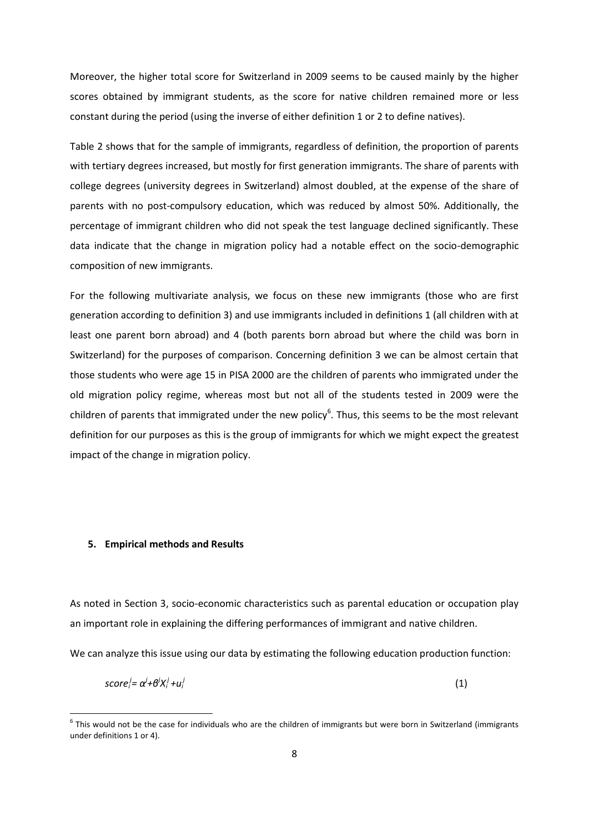Moreover, the higher total score for Switzerland in 2009 seems to be caused mainly by the higher scores obtained by immigrant students, as the score for native children remained more or less constant during the period (using the inverse of either definition 1 or 2 to define natives).

Table 2 shows that for the sample of immigrants, regardless of definition, the proportion of parents with tertiary degrees increased, but mostly for first generation immigrants. The share of parents with college degrees (university degrees in Switzerland) almost doubled, at the expense of the share of parents with no post-compulsory education, which was reduced by almost 50%. Additionally, the percentage of immigrant children who did not speak the test language declined significantly. These data indicate that the change in migration policy had a notable effect on the socio-demographic composition of new immigrants.

For the following multivariate analysis, we focus on these new immigrants (those who are first generation according to definition 3) and use immigrants included in definitions 1 (all children with at least one parent born abroad) and 4 (both parents born abroad but where the child was born in Switzerland) for the purposes of comparison. Concerning definition 3 we can be almost certain that those students who were age 15 in PISA 2000 are the children of parents who immigrated under the old migration policy regime, whereas most but not all of the students tested in 2009 were the children of parents that immigrated under the new policy<sup>6</sup>. Thus, this seems to be the most relevant definition for our purposes as this is the group of immigrants for which we might expect the greatest impact of the change in migration policy.

#### **5. Empirical methods and Results**

**.** 

As noted in Section 3, socio-economic characteristics such as parental education or occupation play an important role in explaining the differing performances of immigrant and native children.

We can analyze this issue using our data by estimating the following education production function:

$$
score_i^j = \alpha^j + \theta^j X_i^j + u_i^j \tag{1}
$$

 $^6$  This would not be the case for individuals who are the children of immigrants but were born in Switzerland (immigrants under definitions 1 or 4).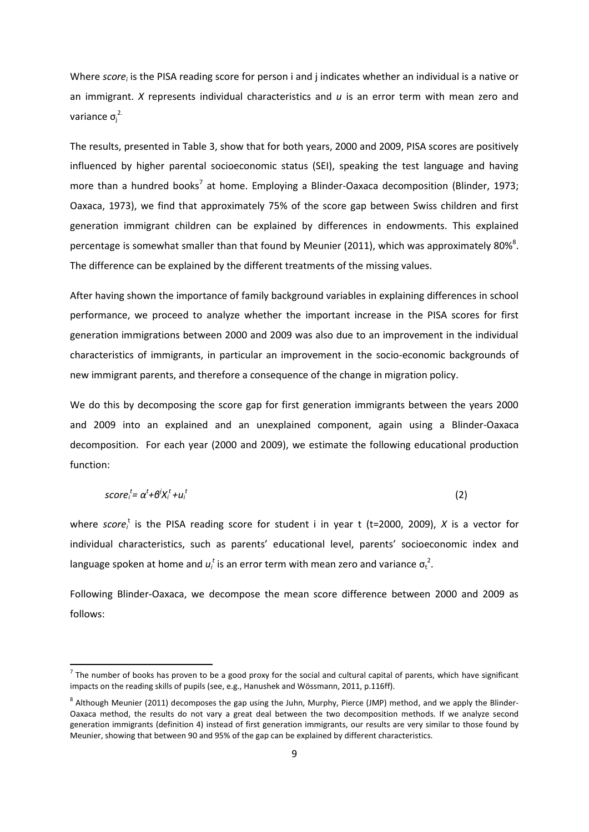Where *score<sub>i</sub>* is the PISA reading score for person i and j indicates whether an individual is a native or an immigrant. *X* represents individual characteristics and *u* is an error term with mean zero and variance  $\sigma_j^2$ 

The results, presented in Table 3, show that for both years, 2000 and 2009, PISA scores are positively influenced by higher parental socioeconomic status (SEI), speaking the test language and having more than a hundred books<sup>7</sup> at home. Employing a Blinder-Oaxaca decomposition (Blinder, 1973; Oaxaca, 1973), we find that approximately 75% of the score gap between Swiss children and first generation immigrant children can be explained by differences in endowments. This explained percentage is somewhat smaller than that found by Meunier (2011), which was approximately 80%<sup>8</sup>. The difference can be explained by the different treatments of the missing values.

After having shown the importance of family background variables in explaining differences in school performance, we proceed to analyze whether the important increase in the PISA scores for first generation immigrations between 2000 and 2009 was also due to an improvement in the individual characteristics of immigrants, in particular an improvement in the socio-economic backgrounds of new immigrant parents, and therefore a consequence of the change in migration policy.

We do this by decomposing the score gap for first generation immigrants between the years 2000 and 2009 into an explained and an unexplained component, again using a Blinder-Oaxaca decomposition. For each year (2000 and 2009), we estimate the following educational production function:

$$
score_i^t = \alpha^t + \theta^j X_i^t + u_i^t \tag{2}
$$

where score<sup>t</sup> is the PISA reading score for student i in year t (t=2000, 2009), *X* is a vector for individual characteristics, such as parents' educational level, parents' socioeconomic index and language spoken at home and  $u_i^t$  is an error term with mean zero and variance  $\sigma_t^2$ .

Following Blinder-Oaxaca, we decompose the mean score difference between 2000 and 2009 as follows:

 $\overline{a}$ 

 $^7$  The number of books has proven to be a good proxy for the social and cultural capital of parents, which have significant impacts on the reading skills of pupils (see, e.g., Hanushek and Wössmann, 2011, p.116ff).

 $^8$  Although Meunier (2011) decomposes the gap using the Juhn, Murphy, Pierce (JMP) method, and we apply the Blinder-Oaxaca method, the results do not vary a great deal between the two decomposition methods. If we analyze second generation immigrants (definition 4) instead of first generation immigrants, our results are very similar to those found by Meunier, showing that between 90 and 95% of the gap can be explained by different characteristics.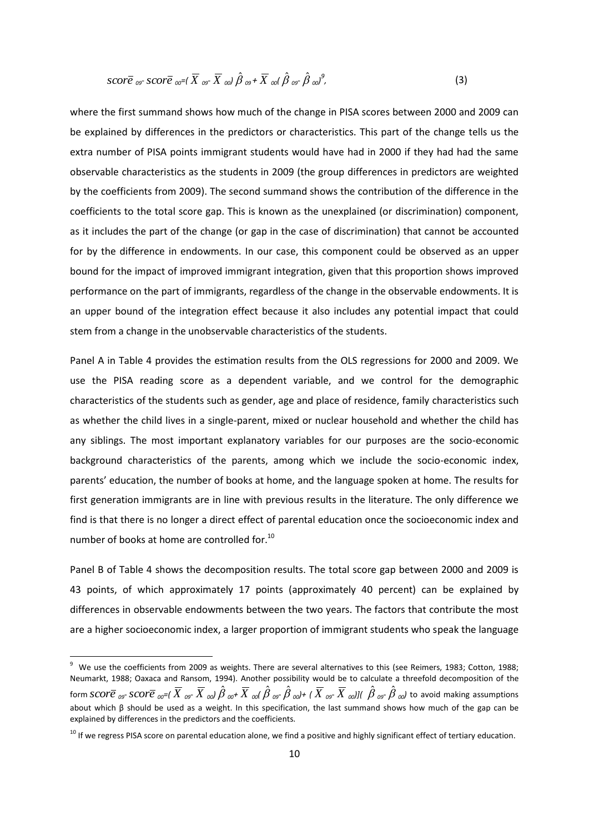$$
score_{\theta^{\sigma}} score_{\theta^{\sigma}}(X_{\theta^{\sigma}}(\overline{X}_{\theta^{\sigma}}\overline{X}_{\theta^{\sigma}})\hat{\beta}_{\theta^{\sigma}}+\overline{X}_{\theta^{\sigma}}(\hat{\beta}_{\theta^{\sigma}}\hat{\beta}_{\theta^{\sigma}})^{\theta},
$$
\n(3)

where the first summand shows how much of the change in PISA scores between 2000 and 2009 can be explained by differences in the predictors or characteristics. This part of the change tells us the extra number of PISA points immigrant students would have had in 2000 if they had had the same observable characteristics as the students in 2009 (the group differences in predictors are weighted by the coefficients from 2009). The second summand shows the contribution of the difference in the coefficients to the total score gap. This is known as the unexplained (or discrimination) component, as it includes the part of the change (or gap in the case of discrimination) that cannot be accounted for by the difference in endowments. In our case, this component could be observed as an upper bound for the impact of improved immigrant integration, given that this proportion shows improved performance on the part of immigrants, regardless of the change in the observable endowments. It is an upper bound of the integration effect because it also includes any potential impact that could stem from a change in the unobservable characteristics of the students.

Panel A in Table 4 provides the estimation results from the OLS regressions for 2000 and 2009. We use the PISA reading score as a dependent variable, and we control for the demographic characteristics of the students such as gender, age and place of residence, family characteristics such as whether the child lives in a single-parent, mixed or nuclear household and whether the child has any siblings. The most important explanatory variables for our purposes are the socio-economic background characteristics of the parents, among which we include the socio-economic index, parents' education, the number of books at home, and the language spoken at home. The results for first generation immigrants are in line with previous results in the literature. The only difference we find is that there is no longer a direct effect of parental education once the socioeconomic index and number of books at home are controlled for.<sup>10</sup>

Panel B of Table 4 shows the decomposition results. The total score gap between 2000 and 2009 is 43 points, of which approximately 17 points (approximately 40 percent) can be explained by differences in observable endowments between the two years. The factors that contribute the most are a higher socioeconomic index, a larger proportion of immigrant students who speak the language

 9 We use the coefficients from 2009 as weights. There are several alternatives to this (see Reimers, 1983; Cotton, 1988; Neumarkt, 1988; Oaxaca and Ransom, 1994). Another possibility would be to calculate a threefold decomposition of the form  $\overline{score}_{\textit{OS}}$   $\overline{score}_{\textit{OS}}$   $\overline{X}_{\textit{OS}}$   $\overline{X}_{\textit{col}}$   $\hat{\beta}_{\textit{tot}}$   $\overline{X}_{\textit{col}}$   $\hat{\beta}_{\textit{OS}}$   $\hat{\beta}_{\textit{col}}$  (  $\overline{X}_{\textit{OS}}$   $\overline{X}_{\textit{col}}$  )(  $\hat{\beta}_{\textit{OS}}$   $\hat{\beta}_{\textit{col}}$  to avoid making assumptions about which β should be used as a weight. In this specification, the last summand shows how much of the gap can be explained by differences in the predictors and the coefficients.

<sup>&</sup>lt;sup>10</sup> If we regress PISA score on parental education alone, we find a positive and highly significant effect of tertiary education.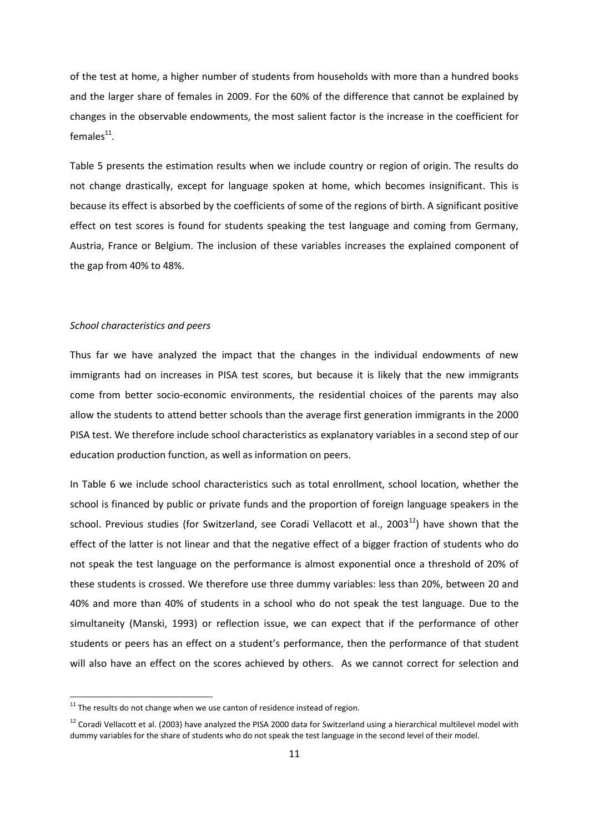of the test at home, a higher number of students from households with more than a hundred books and the larger share of females in 2009. For the 60% of the difference that cannot be explained by changes in the observable endowments, the most salient factor is the increase in the coefficient for females $^{11}$ .

Table 5 presents the estimation results when we include country or region of origin. The results do not change drastically, except for language spoken at home, which becomes insignificant. This is because its effect is absorbed by the coefficients of some of the regions of birth. A significant positive effect on test scores is found for students speaking the test language and coming from Germany, Austria, France or Belgium. The inclusion of these variables increases the explained component of the gap from 40% to 48%.

#### *School characteristics and peers*

1

Thus far we have analyzed the impact that the changes in the individual endowments of new immigrants had on increases in PISA test scores, but because it is likely that the new immigrants come from better socio-economic environments, the residential choices of the parents may also allow the students to attend better schools than the average first generation immigrants in the 2000 PISA test. We therefore include school characteristics as explanatory variables in a second step of our education production function, as well as information on peers.

In Table 6 we include school characteristics such as total enrollment, school location, whether the school is financed by public or private funds and the proportion of foreign language speakers in the school. Previous studies (for Switzerland, see Coradi Vellacott et al., 2003 $^{12}$ ) have shown that the effect of the latter is not linear and that the negative effect of a bigger fraction of students who do not speak the test language on the performance is almost exponential once a threshold of 20% of these students is crossed. We therefore use three dummy variables: less than 20%, between 20 and 40% and more than 40% of students in a school who do not speak the test language. Due to the simultaneity (Manski, 1993) or reflection issue, we can expect that if the performance of other students or peers has an effect on a student's performance, then the performance of that student will also have an effect on the scores achieved by others. As we cannot correct for selection and

 $11$  The results do not change when we use canton of residence instead of region.

 $12$  Coradi Vellacott et al. (2003) have analyzed the PISA 2000 data for Switzerland using a hierarchical multilevel model with dummy variables for the share of students who do not speak the test language in the second level of their model.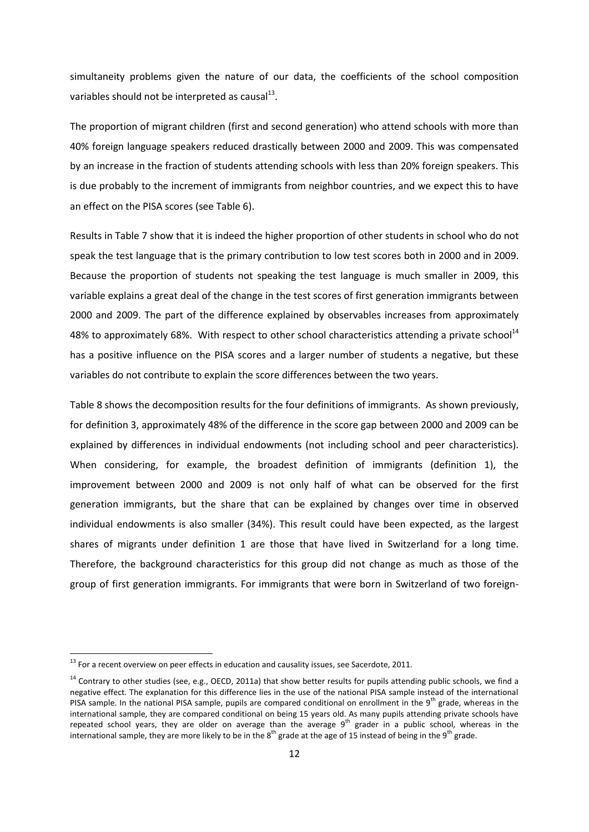simultaneity problems given the nature of our data, the coefficients of the school composition variables should not be interpreted as causal $^{13}$ .

The proportion of migrant children (first and second generation) who attend schools with more than 40% foreign language speakers reduced drastically between 2000 and 2009. This was compensated by an increase in the fraction of students attending schools with less than 20% foreign speakers. This is due probably to the increment of immigrants from neighbor countries, and we expect this to have an effect on the PISA scores (see Table 6).

Results in Table 7 show that it is indeed the higher proportion of other students in school who do not speak the test language that is the primary contribution to low test scores both in 2000 and in 2009. Because the proportion of students not speaking the test language is much smaller in 2009, this variable explains a great deal of the change in the test scores of first generation immigrants between 2000 and 2009. The part of the difference explained by observables increases from approximately 48% to approximately 68%. With respect to other school characteristics attending a private school<sup>14</sup> has a positive influence on the PISA scores and a larger number of students a negative, but these variables do not contribute to explain the score differences between the two years.

Table 8 shows the decomposition results for the four definitions of immigrants. As shown previously, for definition 3, approximately 48% of the difference in the score gap between 2000 and 2009 can be explained by differences in individual endowments (not including school and peer characteristics). When considering, for example, the broadest definition of immigrants (definition 1), the improvement between 2000 and 2009 is not only half of what can be observed for the first generation immigrants, but the share that can be explained by changes over time in observed individual endowments is also smaller (34%). This result could have been expected, as the largest shares of migrants under definition 1 are those that have lived in Switzerland for a long time. Therefore, the background characteristics for this group did not change as much as those of the group of first generation immigrants. For immigrants that were born in Switzerland of two foreign-

**.** 

 $13$  For a recent overview on peer effects in education and causality issues, see Sacerdote, 2011.

 $14$  Contrary to other studies (see, e.g., OECD, 2011a) that show better results for pupils attending public schools, we find a negative effect. The explanation for this difference lies in the use of the national PISA sample instead of the international PISA sample. In the national PISA sample, pupils are compared conditional on enrollment in the 9<sup>th</sup> grade, whereas in the international sample, they are compared conditional on being 15 years old. As many pupils attending private schools have repeated school years, they are older on average than the average  $9<sup>th</sup>$  grader in a public school, whereas in the international sample, they are more likely to be in the  $8^{th}$  grade at the age of 15 instead of being in the 9<sup>th</sup> grade.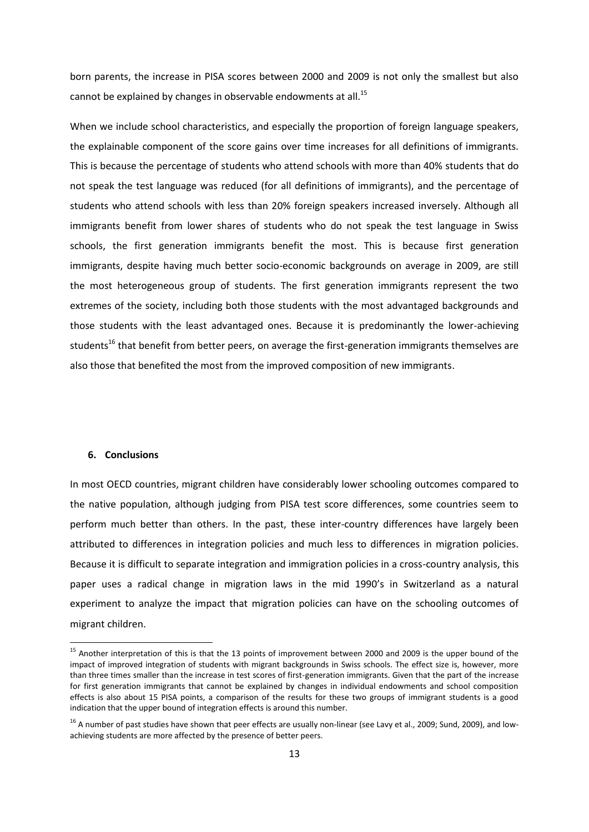born parents, the increase in PISA scores between 2000 and 2009 is not only the smallest but also cannot be explained by changes in observable endowments at all.<sup>15</sup>

When we include school characteristics, and especially the proportion of foreign language speakers, the explainable component of the score gains over time increases for all definitions of immigrants. This is because the percentage of students who attend schools with more than 40% students that do not speak the test language was reduced (for all definitions of immigrants), and the percentage of students who attend schools with less than 20% foreign speakers increased inversely. Although all immigrants benefit from lower shares of students who do not speak the test language in Swiss schools, the first generation immigrants benefit the most. This is because first generation immigrants, despite having much better socio-economic backgrounds on average in 2009, are still the most heterogeneous group of students. The first generation immigrants represent the two extremes of the society, including both those students with the most advantaged backgrounds and those students with the least advantaged ones. Because it is predominantly the lower-achieving students<sup>16</sup> that benefit from better peers, on average the first-generation immigrants themselves are also those that benefited the most from the improved composition of new immigrants.

# **6. Conclusions**

 $\overline{a}$ 

In most OECD countries, migrant children have considerably lower schooling outcomes compared to the native population, although judging from PISA test score differences, some countries seem to perform much better than others. In the past, these inter-country differences have largely been attributed to differences in integration policies and much less to differences in migration policies. Because it is difficult to separate integration and immigration policies in a cross-country analysis, this paper uses a radical change in migration laws in the mid 1990's in Switzerland as a natural experiment to analyze the impact that migration policies can have on the schooling outcomes of migrant children.

<sup>&</sup>lt;sup>15</sup> Another interpretation of this is that the 13 points of improvement between 2000 and 2009 is the upper bound of the impact of improved integration of students with migrant backgrounds in Swiss schools. The effect size is, however, more than three times smaller than the increase in test scores of first-generation immigrants. Given that the part of the increase for first generation immigrants that cannot be explained by changes in individual endowments and school composition effects is also about 15 PISA points, a comparison of the results for these two groups of immigrant students is a good indication that the upper bound of integration effects is around this number.

 $16$  A number of past studies have shown that peer effects are usually non-linear (see Lavy et al., 2009; Sund, 2009), and lowachieving students are more affected by the presence of better peers.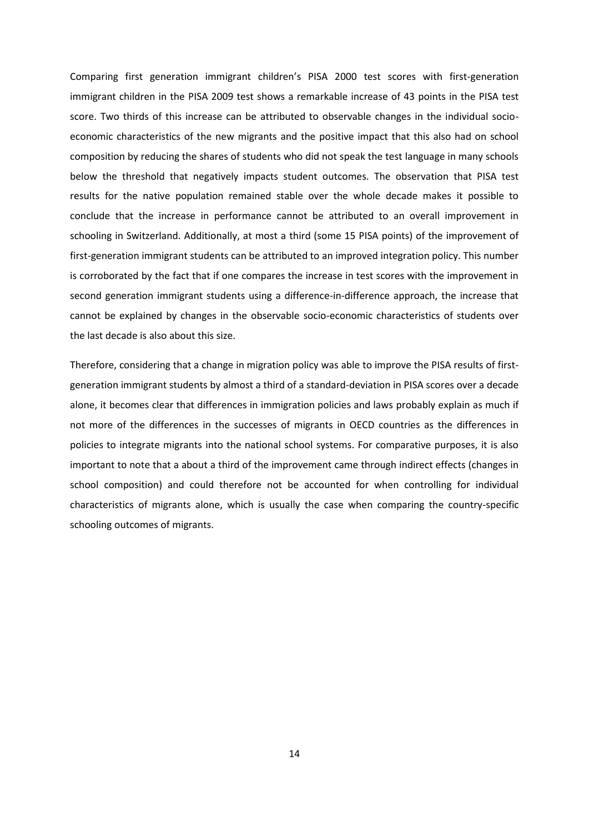Comparing first generation immigrant children's PISA 2000 test scores with first-generation immigrant children in the PISA 2009 test shows a remarkable increase of 43 points in the PISA test score. Two thirds of this increase can be attributed to observable changes in the individual socioeconomic characteristics of the new migrants and the positive impact that this also had on school composition by reducing the shares of students who did not speak the test language in many schools below the threshold that negatively impacts student outcomes. The observation that PISA test results for the native population remained stable over the whole decade makes it possible to conclude that the increase in performance cannot be attributed to an overall improvement in schooling in Switzerland. Additionally, at most a third (some 15 PISA points) of the improvement of first-generation immigrant students can be attributed to an improved integration policy. This number is corroborated by the fact that if one compares the increase in test scores with the improvement in second generation immigrant students using a difference-in-difference approach, the increase that cannot be explained by changes in the observable socio-economic characteristics of students over the last decade is also about this size.

Therefore, considering that a change in migration policy was able to improve the PISA results of firstgeneration immigrant students by almost a third of a standard-deviation in PISA scores over a decade alone, it becomes clear that differences in immigration policies and laws probably explain as much if not more of the differences in the successes of migrants in OECD countries as the differences in policies to integrate migrants into the national school systems. For comparative purposes, it is also important to note that a about a third of the improvement came through indirect effects (changes in school composition) and could therefore not be accounted for when controlling for individual characteristics of migrants alone, which is usually the case when comparing the country-specific schooling outcomes of migrants.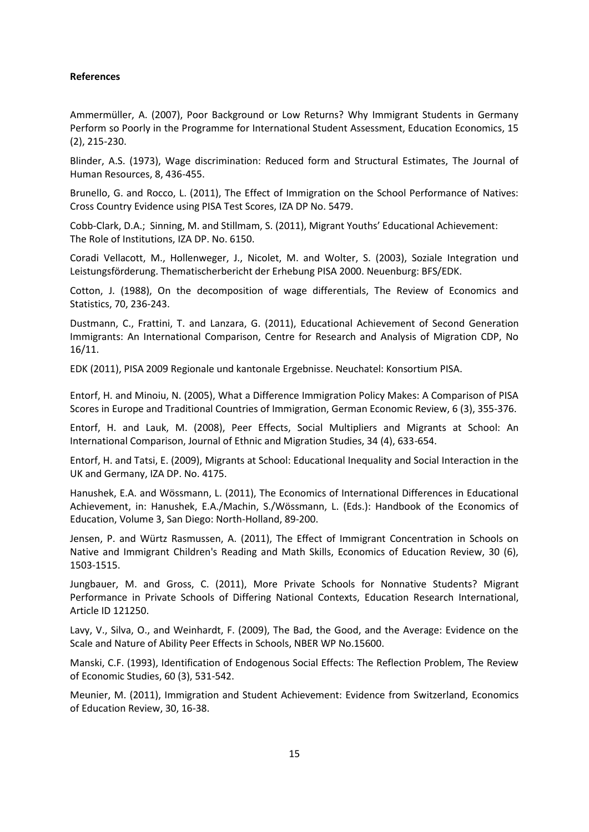# **References**

Ammermüller, A. (2007), Poor Background or Low Returns? Why Immigrant Students in Germany Perform so Poorly in the Programme for International Student Assessment, Education Economics, 15 (2), 215-230.

Blinder, A.S. (1973), Wage discrimination: Reduced form and Structural Estimates, The Journal of Human Resources, 8, 436-455.

Brunello, G. and Rocco, L. (2011), The Effect of Immigration on the School Performance of Natives: Cross Country Evidence using PISA Test Scores, IZA DP No. 5479.

Cobb-Clark, D.A.; Sinning, M. and Stillmam, S. (2011), Migrant Youths' Educational Achievement: The Role of Institutions, IZA DP. No. 6150.

Coradi Vellacott, M., Hollenweger, J., Nicolet, M. and Wolter, S. (2003), Soziale Integration und Leistungsförderung. Thematischerbericht der Erhebung PISA 2000. Neuenburg: BFS/EDK.

Cotton, J. (1988), On the decomposition of wage differentials, The Review of Economics and Statistics, 70, 236-243.

Dustmann, C., Frattini, T. and Lanzara, G. (2011), Educational Achievement of Second Generation Immigrants: An International Comparison, Centre for Research and Analysis of Migration CDP, No 16/11.

EDK (2011), PISA 2009 Regionale und kantonale Ergebnisse. Neuchatel: Konsortium PISA.

Entorf, H. and Minoiu, N. (2005), What a Difference Immigration Policy Makes: A Comparison of PISA Scores in Europe and Traditional Countries of Immigration, German Economic Review, 6 (3), 355-376.

Entorf, H. and Lauk, M. (2008), Peer Effects, Social Multipliers and Migrants at School: An International Comparison, Journal of Ethnic and Migration Studies, 34 (4), 633-654.

Entorf, H. and Tatsi, E. (2009), Migrants at School: Educational Inequality and Social Interaction in the UK and Germany, IZA DP. No. 4175.

Hanushek, E.A. and Wössmann, L. (2011), The Economics of International Differences in Educational Achievement, in: Hanushek, E.A./Machin, S./Wössmann, L. (Eds.): Handbook of the Economics of Education, Volume 3, San Diego: North-Holland, 89-200.

Jensen, P. and Würtz Rasmussen, A. (2011), The Effect of Immigrant Concentration in Schools on Native and Immigrant Children's Reading and Math Skills, Economics of Education Review, 30 (6), 1503-1515.

Jungbauer, M. and Gross, C. (2011), More Private Schools for Nonnative Students? Migrant Performance in Private Schools of Differing National Contexts, Education Research International, Article ID 121250.

Lavy, V., Silva, O., and Weinhardt, F. (2009), The Bad, the Good, and the Average: Evidence on the Scale and Nature of Ability Peer Effects in Schools, NBER WP No.15600.

Manski, C.F. (1993), Identification of Endogenous Social Effects: The Reflection Problem, The Review of Economic Studies, 60 (3), 531-542.

Meunier, M. (2011), Immigration and Student Achievement: Evidence from Switzerland, Economics of Education Review, 30, 16-38.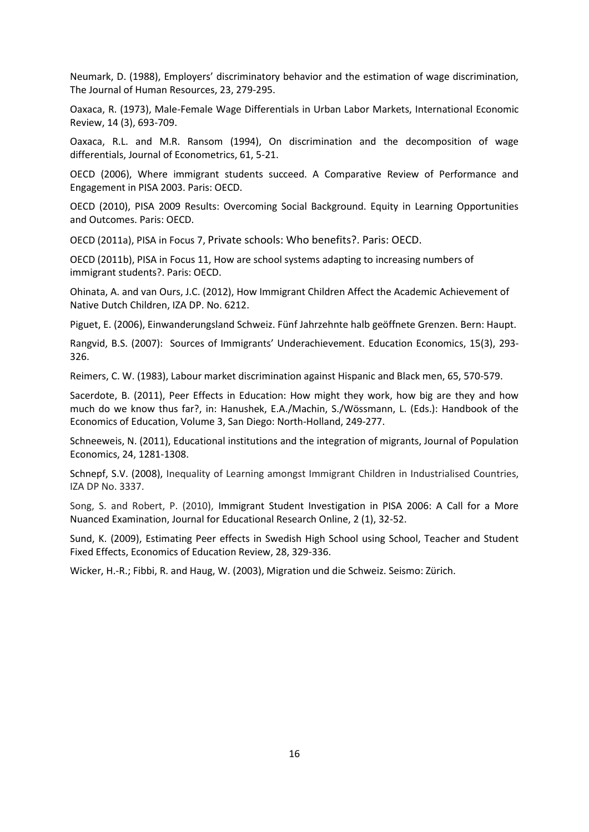Neumark, D. (1988), Employers' discriminatory behavior and the estimation of wage discrimination, The Journal of Human Resources, 23, 279-295.

Oaxaca, R. (1973), Male-Female Wage Differentials in Urban Labor Markets, International Economic Review, 14 (3), 693-709.

Oaxaca, R.L. and M.R. Ransom (1994), On discrimination and the decomposition of wage differentials, Journal of Econometrics, 61, 5-21.

OECD (2006), Where immigrant students succeed. A Comparative Review of Performance and Engagement in PISA 2003. Paris: OECD.

OECD (2010), PISA 2009 Results: Overcoming Social Background. Equity in Learning Opportunities and Outcomes. Paris: OECD.

OECD (2011a), PISA in Focus 7, Private schools: Who benefits?. Paris: OECD.

OECD (2011b), PISA in Focus 11, How are school systems adapting to increasing numbers of immigrant students?. Paris: OECD.

Ohinata, A. and van Ours, J.C. (2012), How Immigrant Children Affect the Academic Achievement of Native Dutch Children, IZA DP. No. 6212.

Piguet, E. (2006), Einwanderungsland Schweiz. Fünf Jahrzehnte halb geöffnete Grenzen. Bern: Haupt.

Rangvid, B.S. (2007): Sources of Immigrants' Underachievement. Education Economics, 15(3), 293- 326.

Reimers, C. W. (1983), Labour market discrimination against Hispanic and Black men, 65, 570-579.

Sacerdote, B. (2011), Peer Effects in Education: How might they work, how big are they and how much do we know thus far?, in: Hanushek, E.A./Machin, S./Wössmann, L. (Eds.): Handbook of the Economics of Education, Volume 3, San Diego: North-Holland, 249-277.

Schneeweis, N. (2011), Educational institutions and the integration of migrants, Journal of Population Economics, 24, 1281-1308.

Schnepf, S.V. (2008), Inequality of Learning amongst Immigrant Children in Industrialised Countries, IZA DP No. 3337.

Song, S. and Robert, P. (2010), Immigrant Student Investigation in PISA 2006: A Call for a More Nuanced Examination, Journal for Educational Research Online, 2 (1), 32-52.

Sund, K. (2009), Estimating Peer effects in Swedish High School using School, Teacher and Student Fixed Effects, Economics of Education Review, 28, 329-336.

Wicker, H.-R.; Fibbi, R. and Haug, W. (2003), Migration und die Schweiz. Seismo: Zürich.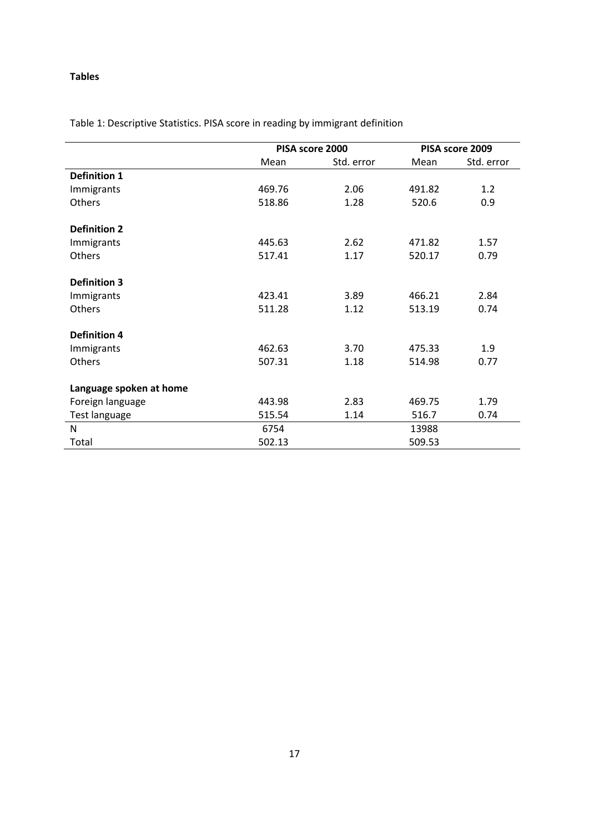# **Tables**

|                         |        | PISA score 2000 | PISA score 2009 |            |  |
|-------------------------|--------|-----------------|-----------------|------------|--|
|                         | Mean   | Std. error      | Mean            | Std. error |  |
| <b>Definition 1</b>     |        |                 |                 |            |  |
| Immigrants              | 469.76 | 2.06            | 491.82          | 1.2        |  |
| Others                  | 518.86 | 1.28            | 520.6           | 0.9        |  |
| <b>Definition 2</b>     |        |                 |                 |            |  |
| Immigrants              | 445.63 | 2.62            | 471.82          | 1.57       |  |
| Others                  | 517.41 | 1.17            | 520.17          | 0.79       |  |
| <b>Definition 3</b>     |        |                 |                 |            |  |
| Immigrants              | 423.41 | 3.89            | 466.21          | 2.84       |  |
| Others                  | 511.28 | 1.12            | 513.19          | 0.74       |  |
| <b>Definition 4</b>     |        |                 |                 |            |  |
| Immigrants              | 462.63 | 3.70            | 475.33          | 1.9        |  |
| Others                  | 507.31 | 1.18            | 514.98          | 0.77       |  |
| Language spoken at home |        |                 |                 |            |  |
| Foreign language        | 443.98 | 2.83            | 469.75          | 1.79       |  |
| Test language           | 515.54 | 1.14            | 516.7           | 0.74       |  |
| N                       | 6754   |                 | 13988           |            |  |
| Total                   | 502.13 |                 | 509.53          |            |  |

Table 1: Descriptive Statistics. PISA score in reading by immigrant definition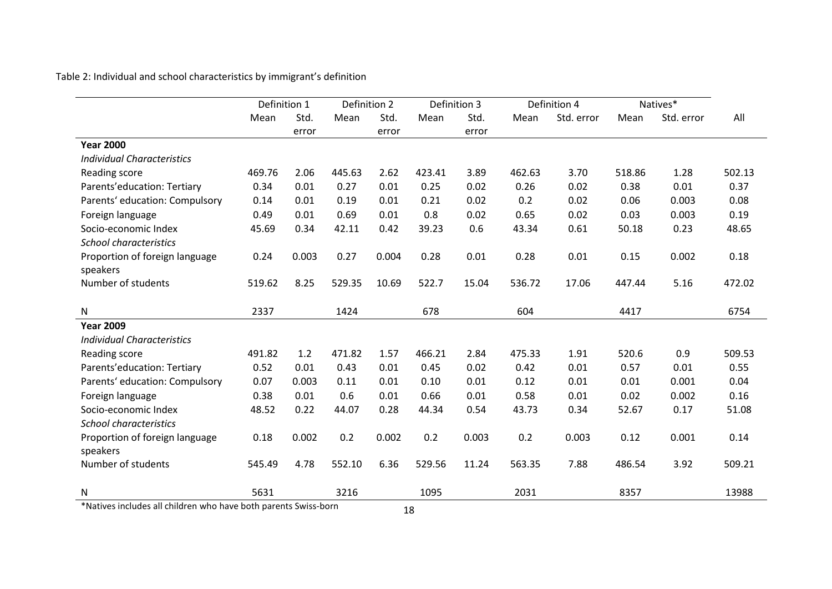Table 2: Individual and school characteristics by immigrant's definition

|                                   | Definition 1 |       | Definition 2 |       |        | Definition 3 |        | Definition 4 |        | Natives*   |        |
|-----------------------------------|--------------|-------|--------------|-------|--------|--------------|--------|--------------|--------|------------|--------|
|                                   | Mean         | Std.  | Mean         | Std.  | Mean   | Std.         | Mean   | Std. error   | Mean   | Std. error | All    |
|                                   |              | error |              | error |        | error        |        |              |        |            |        |
| <b>Year 2000</b>                  |              |       |              |       |        |              |        |              |        |            |        |
| <b>Individual Characteristics</b> |              |       |              |       |        |              |        |              |        |            |        |
| Reading score                     | 469.76       | 2.06  | 445.63       | 2.62  | 423.41 | 3.89         | 462.63 | 3.70         | 518.86 | 1.28       | 502.13 |
| Parents'education: Tertiary       | 0.34         | 0.01  | 0.27         | 0.01  | 0.25   | 0.02         | 0.26   | 0.02         | 0.38   | 0.01       | 0.37   |
| Parents' education: Compulsory    | 0.14         | 0.01  | 0.19         | 0.01  | 0.21   | 0.02         | 0.2    | 0.02         | 0.06   | 0.003      | 0.08   |
| Foreign language                  | 0.49         | 0.01  | 0.69         | 0.01  | 0.8    | 0.02         | 0.65   | 0.02         | 0.03   | 0.003      | 0.19   |
| Socio-economic Index              | 45.69        | 0.34  | 42.11        | 0.42  | 39.23  | 0.6          | 43.34  | 0.61         | 50.18  | 0.23       | 48.65  |
| <b>School characteristics</b>     |              |       |              |       |        |              |        |              |        |            |        |
| Proportion of foreign language    | 0.24         | 0.003 | 0.27         | 0.004 | 0.28   | 0.01         | 0.28   | 0.01         | 0.15   | 0.002      | 0.18   |
| speakers                          |              |       |              |       |        |              |        |              |        |            |        |
| Number of students                | 519.62       | 8.25  | 529.35       | 10.69 | 522.7  | 15.04        | 536.72 | 17.06        | 447.44 | 5.16       | 472.02 |
|                                   |              |       |              |       |        |              |        |              |        |            |        |
| N                                 | 2337         |       | 1424         |       | 678    |              | 604    |              | 4417   |            | 6754   |
| <b>Year 2009</b>                  |              |       |              |       |        |              |        |              |        |            |        |
| <b>Individual Characteristics</b> |              |       |              |       |        |              |        |              |        |            |        |
| Reading score                     | 491.82       | 1.2   | 471.82       | 1.57  | 466.21 | 2.84         | 475.33 | 1.91         | 520.6  | 0.9        | 509.53 |
| Parents'education: Tertiary       | 0.52         | 0.01  | 0.43         | 0.01  | 0.45   | 0.02         | 0.42   | 0.01         | 0.57   | 0.01       | 0.55   |
| Parents' education: Compulsory    | 0.07         | 0.003 | 0.11         | 0.01  | 0.10   | 0.01         | 0.12   | 0.01         | 0.01   | 0.001      | 0.04   |
| Foreign language                  | 0.38         | 0.01  | 0.6          | 0.01  | 0.66   | 0.01         | 0.58   | 0.01         | 0.02   | 0.002      | 0.16   |
| Socio-economic Index              | 48.52        | 0.22  | 44.07        | 0.28  | 44.34  | 0.54         | 43.73  | 0.34         | 52.67  | 0.17       | 51.08  |
| <b>School characteristics</b>     |              |       |              |       |        |              |        |              |        |            |        |
| Proportion of foreign language    | 0.18         | 0.002 | 0.2          | 0.002 | 0.2    | 0.003        | 0.2    | 0.003        | 0.12   | 0.001      | 0.14   |
| speakers                          |              |       |              |       |        |              |        |              |        |            |        |
| Number of students                | 545.49       | 4.78  | 552.10       | 6.36  | 529.56 | 11.24        | 563.35 | 7.88         | 486.54 | 3.92       | 509.21 |
| Ν                                 | 5631         |       | 3216         |       | 1095   |              | 2031   |              | 8357   |            | 13988  |

\*Natives includes all children who have both parents Swiss-born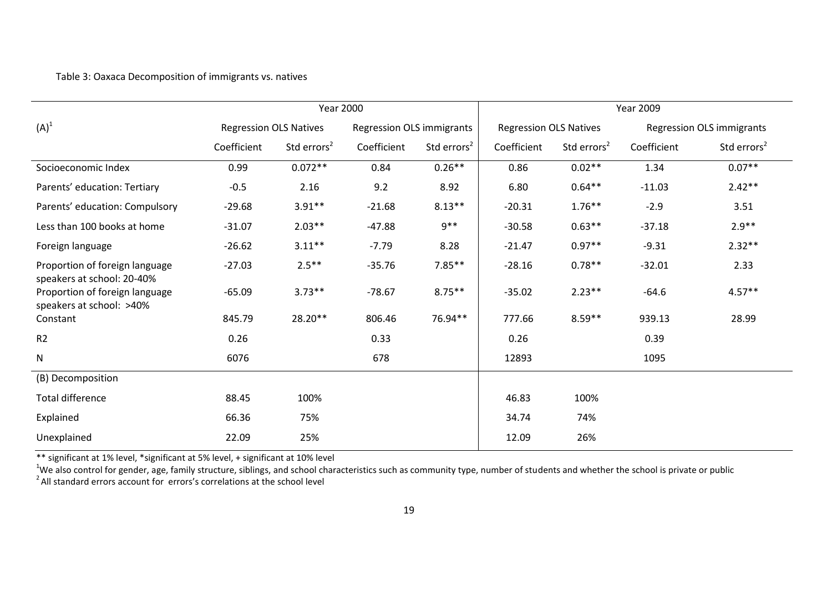# Table 3: Oaxaca Decomposition of immigrants vs. natives

|                                                              | <b>Year 2000</b>              |                         |                                  | <b>Year 2009</b>        |                               |                         |             |                           |
|--------------------------------------------------------------|-------------------------------|-------------------------|----------------------------------|-------------------------|-------------------------------|-------------------------|-------------|---------------------------|
| $(A)^1$                                                      | <b>Regression OLS Natives</b> |                         | <b>Regression OLS immigrants</b> |                         | <b>Regression OLS Natives</b> |                         |             | Regression OLS immigrants |
|                                                              | Coefficient                   | Std errors <sup>2</sup> | Coefficient                      | Std errors <sup>2</sup> | Coefficient                   | Std errors <sup>2</sup> | Coefficient | Std errors <sup>2</sup>   |
| Socioeconomic Index                                          | 0.99                          | $0.072**$               | 0.84                             | $0.26**$                | 0.86                          | $0.02**$                | 1.34        | $0.07**$                  |
| Parents' education: Tertiary                                 | $-0.5$                        | 2.16                    | 9.2                              | 8.92                    | 6.80                          | $0.64**$                | $-11.03$    | $2.42**$                  |
| Parents' education: Compulsory                               | $-29.68$                      | $3.91**$                | $-21.68$                         | $8.13***$               | $-20.31$                      | $1.76***$               | $-2.9$      | 3.51                      |
| Less than 100 books at home                                  | $-31.07$                      | $2.03**$                | $-47.88$                         | $9**$                   | $-30.58$                      | $0.63**$                | $-37.18$    | $2.9**$                   |
| Foreign language                                             | $-26.62$                      | $3.11***$               | $-7.79$                          | 8.28                    | $-21.47$                      | $0.97**$                | $-9.31$     | $2.32**$                  |
| Proportion of foreign language<br>speakers at school: 20-40% | $-27.03$                      | $2.5***$                | $-35.76$                         | $7.85***$               | $-28.16$                      | $0.78**$                | $-32.01$    | 2.33                      |
| Proportion of foreign language<br>speakers at school: >40%   | $-65.09$                      | $3.73**$                | $-78.67$                         | $8.75***$               | $-35.02$                      | $2.23***$               | $-64.6$     | $4.57**$                  |
| Constant                                                     | 845.79                        | 28.20**                 | 806.46                           | 76.94**                 | 777.66                        | $8.59**$                | 939.13      | 28.99                     |
| R <sub>2</sub>                                               | 0.26                          |                         | 0.33                             |                         | 0.26                          |                         | 0.39        |                           |
| $\mathsf{N}$                                                 | 6076                          |                         | 678                              |                         | 12893                         |                         | 1095        |                           |
| (B) Decomposition                                            |                               |                         |                                  |                         |                               |                         |             |                           |
| <b>Total difference</b>                                      | 88.45                         | 100%                    |                                  |                         | 46.83                         | 100%                    |             |                           |
| Explained                                                    | 66.36                         | 75%                     |                                  |                         | 34.74                         | 74%                     |             |                           |
| Unexplained                                                  | 22.09                         | 25%                     |                                  |                         | 12.09                         | 26%                     |             |                           |

\*\* significant at 1% level, \*significant at 5% level, + significant at 10% level

<sup>1</sup>We also control for gender, age, family structure, siblings, and school characteristics such as community type, number of students and whether the school is private or public<br><sup>2</sup> All standard errors account for errors's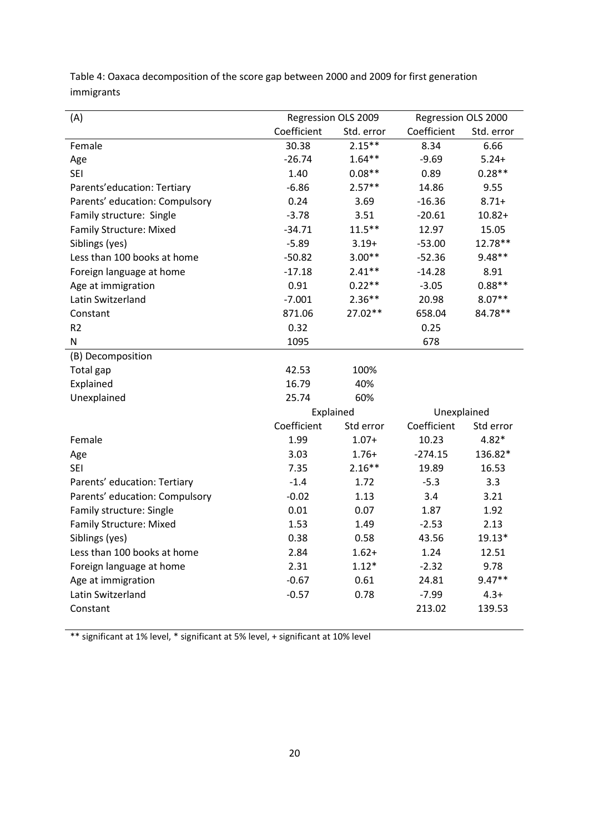| (A)                            | Regression OLS 2009 |            | Regression OLS 2000 |            |
|--------------------------------|---------------------|------------|---------------------|------------|
|                                | Coefficient         | Std. error | Coefficient         | Std. error |
| Female                         | 30.38               | $2.15***$  | 8.34                | 6.66       |
| Age                            | $-26.74$            | $1.64**$   | $-9.69$             | $5.24+$    |
| <b>SEI</b>                     | 1.40                | $0.08**$   | 0.89                | $0.28**$   |
| Parents'education: Tertiary    | $-6.86$             | $2.57**$   | 14.86               | 9.55       |
| Parents' education: Compulsory | 0.24                | 3.69       | $-16.36$            | $8.71 +$   |
| Family structure: Single       | $-3.78$             | 3.51       | $-20.61$            | $10.82 +$  |
| <b>Family Structure: Mixed</b> | $-34.71$            | $11.5***$  | 12.97               | 15.05      |
| Siblings (yes)                 | $-5.89$             | $3.19+$    | $-53.00$            | 12.78**    |
| Less than 100 books at home    | $-50.82$            | $3.00**$   | $-52.36$            | $9.48**$   |
| Foreign language at home       | $-17.18$            | $2.41**$   | $-14.28$            | 8.91       |
| Age at immigration             | 0.91                | $0.22**$   | $-3.05$             | $0.88**$   |
| Latin Switzerland              | $-7.001$            | $2.36**$   | 20.98               | $8.07**$   |
| Constant                       | 871.06              | 27.02**    | 658.04              | 84.78**    |
| R <sub>2</sub>                 | 0.32                |            | 0.25                |            |
| N                              | 1095                |            | 678                 |            |
| (B) Decomposition              |                     |            |                     |            |
| Total gap                      | 42.53               | 100%       |                     |            |
| Explained                      | 16.79               | 40%        |                     |            |
| Unexplained                    | 25.74               | 60%        |                     |            |
|                                | Explained           |            | Unexplained         |            |
|                                | Coefficient         | Std error  | Coefficient         | Std error  |
| Female                         | 1.99                | $1.07+$    | 10.23               | $4.82*$    |
| Age                            | 3.03                | $1.76+$    | $-274.15$           | 136.82*    |
| <b>SEI</b>                     | 7.35                | $2.16**$   | 19.89               | 16.53      |
| Parents' education: Tertiary   | $-1.4$              | 1.72       | $-5.3$              | 3.3        |
| Parents' education: Compulsory | $-0.02$             | 1.13       | 3.4                 | 3.21       |
| Family structure: Single       | 0.01                | 0.07       | 1.87                | 1.92       |
| <b>Family Structure: Mixed</b> | 1.53                | 1.49       | $-2.53$             | 2.13       |
| Siblings (yes)                 | 0.38                | 0.58       | 43.56               | 19.13*     |
| Less than 100 books at home    | 2.84                | $1.62+$    | 1.24                | 12.51      |
| Foreign language at home       | 2.31                | $1.12*$    | $-2.32$             | 9.78       |
| Age at immigration             | $-0.67$             | 0.61       | 24.81               | $9.47**$   |
| Latin Switzerland              | $-0.57$             | 0.78       | $-7.99$             | $4.3+$     |
| Constant                       |                     |            | 213.02              | 139.53     |
|                                |                     |            |                     |            |

Table 4: Oaxaca decomposition of the score gap between 2000 and 2009 for first generation immigrants

\*\* significant at 1% level, \* significant at 5% level, + significant at 10% level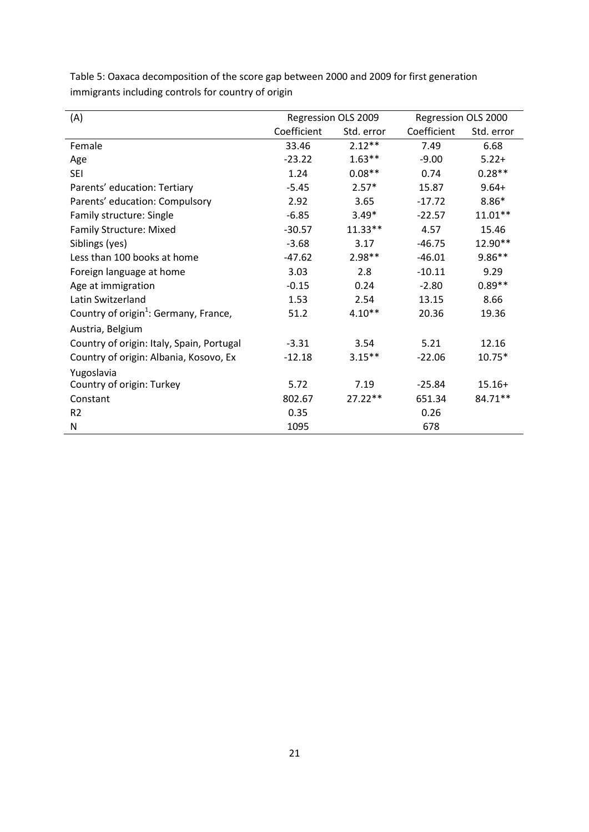| (A)                                               |             | Regression OLS 2009 | Regression OLS 2000 |            |
|---------------------------------------------------|-------------|---------------------|---------------------|------------|
|                                                   | Coefficient | Std. error          | Coefficient         | Std. error |
| Female                                            | 33.46       | $2.12**$            | 7.49                | 6.68       |
| Age                                               | $-23.22$    | $1.63**$            | $-9.00$             | $5.22+$    |
| <b>SEI</b>                                        | 1.24        | $0.08**$            | 0.74                | $0.28**$   |
| Parents' education: Tertiary                      | $-5.45$     | $2.57*$             | 15.87               | $9.64+$    |
| Parents' education: Compulsory                    | 2.92        | 3.65                | $-17.72$            | $8.86*$    |
| Family structure: Single                          | $-6.85$     | $3.49*$             | $-22.57$            | $11.01**$  |
| <b>Family Structure: Mixed</b>                    | $-30.57$    | $11.33**$           | 4.57                | 15.46      |
| Siblings (yes)                                    | $-3.68$     | 3.17                | $-46.75$            | 12.90**    |
| Less than 100 books at home                       | $-47.62$    | $2.98**$            | $-46.01$            | $9.86**$   |
| Foreign language at home                          | 3.03        | 2.8                 | $-10.11$            | 9.29       |
| Age at immigration                                | $-0.15$     | 0.24                | $-2.80$             | $0.89**$   |
| Latin Switzerland                                 | 1.53        | 2.54                | 13.15               | 8.66       |
| Country of origin <sup>1</sup> : Germany, France, | 51.2        | $4.10**$            | 20.36               | 19.36      |
| Austria, Belgium                                  |             |                     |                     |            |
| Country of origin: Italy, Spain, Portugal         | $-3.31$     | 3.54                | 5.21                | 12.16      |
| Country of origin: Albania, Kosovo, Ex            | $-12.18$    | $3.15***$           | $-22.06$            | $10.75*$   |
| Yugoslavia                                        |             |                     |                     |            |
| Country of origin: Turkey                         | 5.72        | 7.19                | $-25.84$            | $15.16+$   |
| Constant                                          | 802.67      | $27.22**$           | 651.34              | 84.71**    |
| R <sub>2</sub>                                    | 0.35        |                     | 0.26                |            |
| N                                                 | 1095        |                     | 678                 |            |

Table 5: Oaxaca decomposition of the score gap between 2000 and 2009 for first generation immigrants including controls for country of origin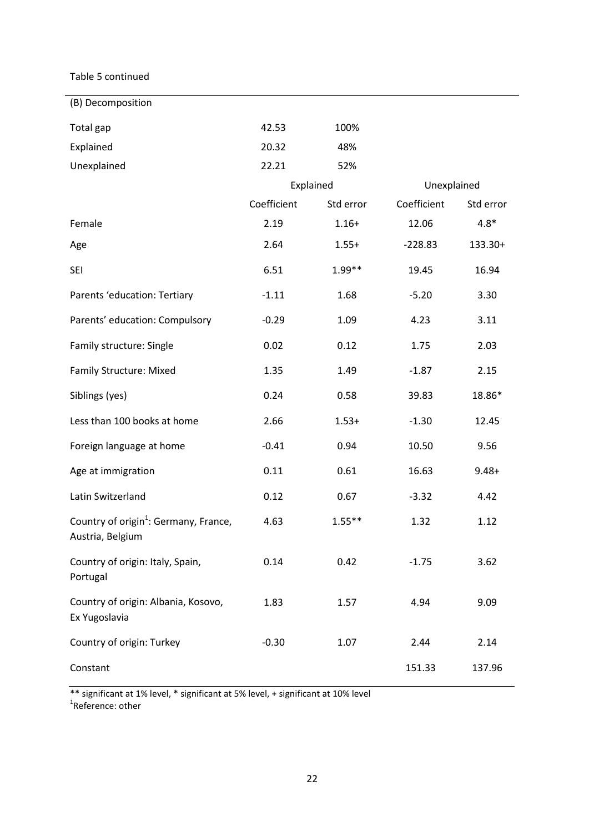Table 5 continued

| (B) Decomposition                                                     |             |           |             |           |
|-----------------------------------------------------------------------|-------------|-----------|-------------|-----------|
| Total gap                                                             | 42.53       | 100%      |             |           |
| Explained                                                             | 20.32       | 48%       |             |           |
| Unexplained                                                           | 22.21       | 52%       |             |           |
|                                                                       |             | Explained | Unexplained |           |
|                                                                       | Coefficient | Std error | Coefficient | Std error |
| Female                                                                | 2.19        | $1.16+$   | 12.06       | $4.8*$    |
| Age                                                                   | 2.64        | $1.55+$   | $-228.83$   | 133.30+   |
| <b>SEI</b>                                                            | 6.51        | 1.99**    | 19.45       | 16.94     |
| Parents 'education: Tertiary                                          | $-1.11$     | 1.68      | $-5.20$     | 3.30      |
| Parents' education: Compulsory                                        | $-0.29$     | 1.09      | 4.23        | 3.11      |
| Family structure: Single                                              | 0.02        | 0.12      | 1.75        | 2.03      |
| <b>Family Structure: Mixed</b>                                        | 1.35        | 1.49      | $-1.87$     | 2.15      |
| Siblings (yes)                                                        | 0.24        | 0.58      | 39.83       | 18.86*    |
| Less than 100 books at home                                           | 2.66        | $1.53+$   | $-1.30$     | 12.45     |
| Foreign language at home                                              | $-0.41$     | 0.94      | 10.50       | 9.56      |
| Age at immigration                                                    | 0.11        | 0.61      | 16.63       | $9.48 +$  |
| Latin Switzerland                                                     | 0.12        | 0.67      | $-3.32$     | 4.42      |
| Country of origin <sup>1</sup> : Germany, France,<br>Austria, Belgium | 4.63        | $1.55***$ | 1.32        | 1.12      |
| Country of origin: Italy, Spain,<br>Portugal                          | 0.14        | 0.42      | $-1.75$     | 3.62      |
| Country of origin: Albania, Kosovo,<br>Ex Yugoslavia                  | 1.83        | 1.57      | 4.94        | 9.09      |
| Country of origin: Turkey                                             | $-0.30$     | 1.07      | 2.44        | 2.14      |
| Constant                                                              |             |           | 151.33      | 137.96    |

\*\* significant at 1% level, \* significant at 5% level, + significant at 10% level 1 Reference: other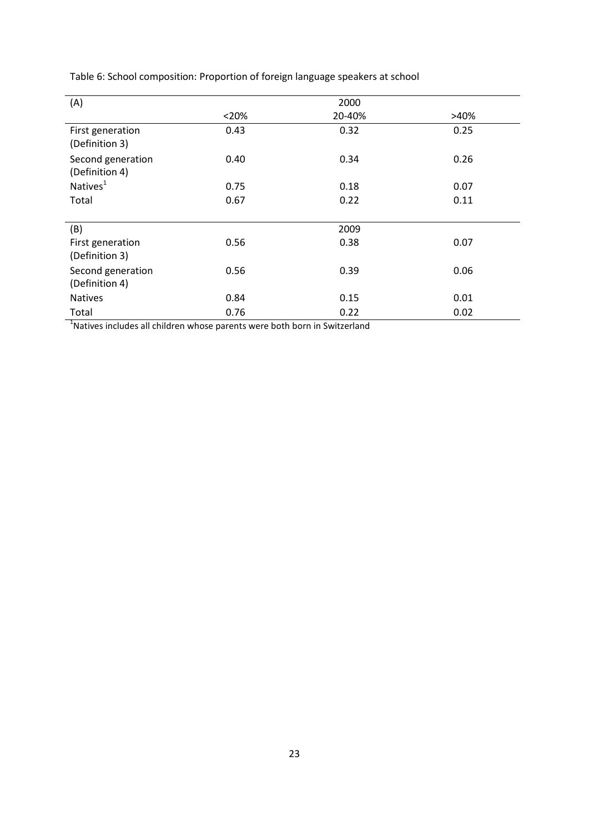Table 6: School composition: Proportion of foreign language speakers at school

| (A)                                 |       | 2000   |      |
|-------------------------------------|-------|--------|------|
|                                     | < 20% | 20-40% | >40% |
| First generation<br>(Definition 3)  | 0.43  | 0.32   | 0.25 |
| Second generation<br>(Definition 4) | 0.40  | 0.34   | 0.26 |
| Natives <sup>1</sup>                | 0.75  | 0.18   | 0.07 |
| Total                               | 0.67  | 0.22   | 0.11 |
|                                     |       |        |      |
| (B)                                 |       | 2009   |      |
| First generation<br>(Definition 3)  | 0.56  | 0.38   | 0.07 |
| Second generation<br>(Definition 4) | 0.56  | 0.39   | 0.06 |
| <b>Natives</b>                      | 0.84  | 0.15   | 0.01 |
| Total                               | 0.76  | 0.22   | 0.02 |

 $<sup>1</sup>$ Natives includes all children whose parents were both born in Switzerland</sup>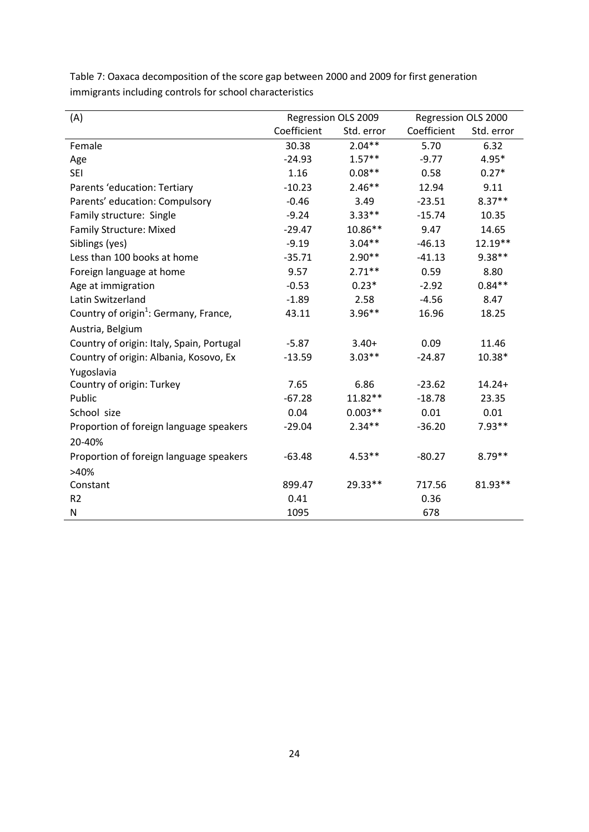| (A)                                               | Regression OLS 2009 |            | Regression OLS 2000 |            |
|---------------------------------------------------|---------------------|------------|---------------------|------------|
|                                                   | Coefficient         | Std. error | Coefficient         | Std. error |
| Female                                            | 30.38               | $2.04**$   | 5.70                | 6.32       |
| Age                                               | $-24.93$            | $1.57**$   | $-9.77$             | $4.95*$    |
| <b>SEI</b>                                        | 1.16                | $0.08**$   | 0.58                | $0.27*$    |
| Parents 'education: Tertiary                      | $-10.23$            | $2.46**$   | 12.94               | 9.11       |
| Parents' education: Compulsory                    | $-0.46$             | 3.49       | $-23.51$            | $8.37**$   |
| Family structure: Single                          | $-9.24$             | $3.33**$   | $-15.74$            | 10.35      |
| Family Structure: Mixed                           | $-29.47$            | 10.86**    | 9.47                | 14.65      |
| Siblings (yes)                                    | $-9.19$             | $3.04**$   | $-46.13$            | 12.19**    |
| Less than 100 books at home                       | $-35.71$            | $2.90**$   | $-41.13$            | $9.38**$   |
| Foreign language at home                          | 9.57                | $2.71**$   | 0.59                | 8.80       |
| Age at immigration                                | $-0.53$             | $0.23*$    | $-2.92$             | $0.84**$   |
| Latin Switzerland                                 | $-1.89$             | 2.58       | $-4.56$             | 8.47       |
| Country of origin <sup>1</sup> : Germany, France, | 43.11               | $3.96**$   | 16.96               | 18.25      |
| Austria, Belgium                                  |                     |            |                     |            |
| Country of origin: Italy, Spain, Portugal         | $-5.87$             | $3.40+$    | 0.09                | 11.46      |
| Country of origin: Albania, Kosovo, Ex            | $-13.59$            | $3.03**$   | $-24.87$            | 10.38*     |
| Yugoslavia                                        |                     |            |                     |            |
| Country of origin: Turkey                         | 7.65                | 6.86       | $-23.62$            | $14.24+$   |
| Public                                            | $-67.28$            | $11.82**$  | $-18.78$            | 23.35      |
| School size                                       | 0.04                | $0.003**$  | 0.01                | 0.01       |
| Proportion of foreign language speakers           | $-29.04$            | $2.34**$   | $-36.20$            | $7.93**$   |
| 20-40%                                            |                     |            |                     |            |
| Proportion of foreign language speakers           | $-63.48$            | $4.53**$   | $-80.27$            | $8.79**$   |
| >40%                                              |                     |            |                     |            |
| Constant                                          | 899.47              | 29.33**    | 717.56              | 81.93**    |
| R <sub>2</sub>                                    | 0.41                |            | 0.36                |            |
| Ν                                                 | 1095                |            | 678                 |            |

Table 7: Oaxaca decomposition of the score gap between 2000 and 2009 for first generation immigrants including controls for school characteristics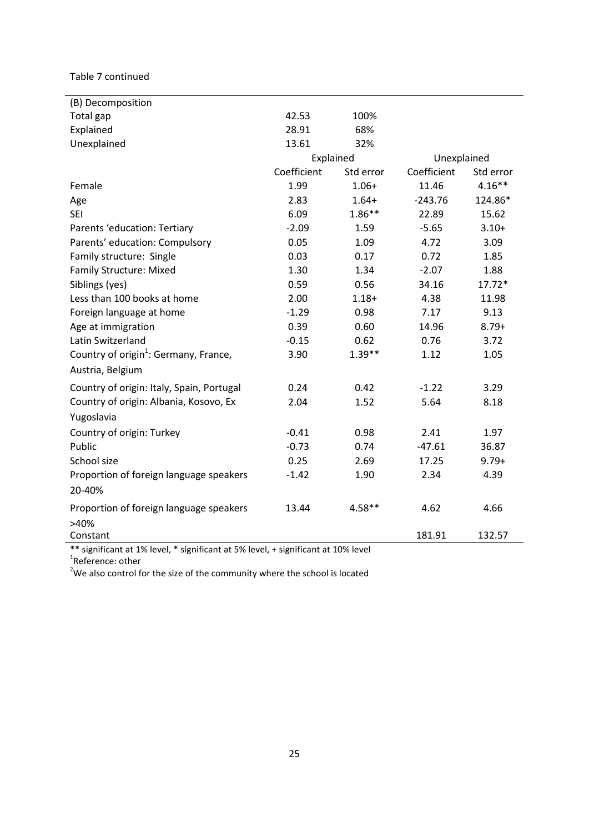Table 7 continued

| (B) Decomposition                                 |             |           |             |           |
|---------------------------------------------------|-------------|-----------|-------------|-----------|
| Total gap                                         | 42.53       | 100%      |             |           |
| Explained                                         | 28.91       | 68%       |             |           |
| Unexplained                                       | 13.61       | 32%       |             |           |
|                                                   | Explained   |           | Unexplained |           |
|                                                   | Coefficient | Std error | Coefficient | Std error |
| Female                                            | 1.99        | $1.06+$   | 11.46       | $4.16***$ |
| Age                                               | 2.83        | $1.64+$   | $-243.76$   | 124.86*   |
| <b>SEI</b>                                        | 6.09        | $1.86**$  | 22.89       | 15.62     |
| Parents 'education: Tertiary                      | $-2.09$     | 1.59      | $-5.65$     | $3.10+$   |
| Parents' education: Compulsory                    | 0.05        | 1.09      | 4.72        | 3.09      |
| Family structure: Single                          | 0.03        | 0.17      | 0.72        | 1.85      |
| <b>Family Structure: Mixed</b>                    | 1.30        | 1.34      | $-2.07$     | 1.88      |
| Siblings (yes)                                    | 0.59        | 0.56      | 34.16       | $17.72*$  |
| Less than 100 books at home                       | 2.00        | $1.18 +$  | 4.38        | 11.98     |
| Foreign language at home                          | $-1.29$     | 0.98      | 7.17        | 9.13      |
| Age at immigration                                | 0.39        | 0.60      | 14.96       | $8.79+$   |
| Latin Switzerland                                 | $-0.15$     | 0.62      | 0.76        | 3.72      |
| Country of origin <sup>1</sup> : Germany, France, | 3.90        | $1.39**$  | 1.12        | 1.05      |
| Austria, Belgium                                  |             |           |             |           |
|                                                   |             |           |             |           |
| Country of origin: Italy, Spain, Portugal         | 0.24        | 0.42      | $-1.22$     | 3.29      |
| Country of origin: Albania, Kosovo, Ex            | 2.04        | 1.52      | 5.64        | 8.18      |
| Yugoslavia                                        |             |           |             |           |
| Country of origin: Turkey                         | $-0.41$     | 0.98      | 2.41        | 1.97      |
| Public                                            | $-0.73$     | 0.74      | $-47.61$    | 36.87     |
| School size                                       | 0.25        | 2.69      | 17.25       | $9.79+$   |
| Proportion of foreign language speakers           | $-1.42$     | 1.90      | 2.34        | 4.39      |
| 20-40%                                            |             |           |             |           |
| Proportion of foreign language speakers           | 13.44       | $4.58**$  | 4.62        | 4.66      |
| >40%                                              |             |           |             |           |
| Constant                                          |             |           | 181.91      | 132.57    |

\*\* significant at 1% level, \* significant at 5% level, + significant at 10% level 1 Reference: other

<sup>2</sup>We also control for the size of the community where the school is located